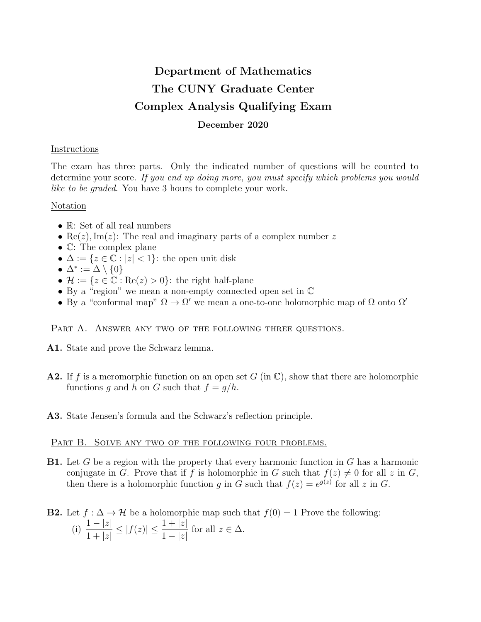# Department of Mathematics The CUNY Graduate Center Complex Analysis Qualifying Exam December 2020

### **Instructions**

The exam has three parts. Only the indicated number of questions will be counted to determine your score. If you end up doing more, you must specify which problems you would like to be graded. You have 3 hours to complete your work.

## Notation

- R: Set of all real numbers
- Re(*z*), Im(*z*): The real and imaginary parts of a complex number z
- C: The complex plane
- $\Delta := \{z \in \mathbb{C} : |z| < 1\}$ : the open unit disk
- $\Delta^* := \Delta \setminus \{0\}$
- $\mathcal{H} := \{z \in \mathbb{C} : \text{Re}(z) > 0\}$ : the right half-plane
- By a "region" we mean a non-empty connected open set in C
- By a "conformal map"  $\Omega \to \Omega'$  we mean a one-to-one holomorphic map of  $\Omega$  onto  $\Omega'$

# PART A. ANSWER ANY TWO OF THE FOLLOWING THREE QUESTIONS.

- A1. State and prove the Schwarz lemma.
- **A2.** If f is a meromorphic function on an open set  $G$  (in  $\mathbb{C}$ ), show that there are holomorphic functions g and h on G such that  $f = g/h$ .
- A3. State Jensen's formula and the Schwarz's reflection principle.

#### PART B. SOLVE ANY TWO OF THE FOLLOWING FOUR PROBLEMS.

**B1.** Let G be a region with the property that every harmonic function in G has a harmonic conjugate in G. Prove that if f is holomorphic in G such that  $f(z) \neq 0$  for all z in G, then there is a holomorphic function g in G such that  $f(z) = e^{g(z)}$  for all z in G.

#### **B2.** Let  $f : \Delta \to \mathcal{H}$  be a holomorphic map such that  $f(0) = 1$  Prove the following: (i)  $\frac{1-|z|}{1+|z|}$  $1 + |z|$  $\leq |f(z)| \leq \frac{1+|z|}{1-|z|}$  $1-|z|$ for all  $z \in \Delta$ .